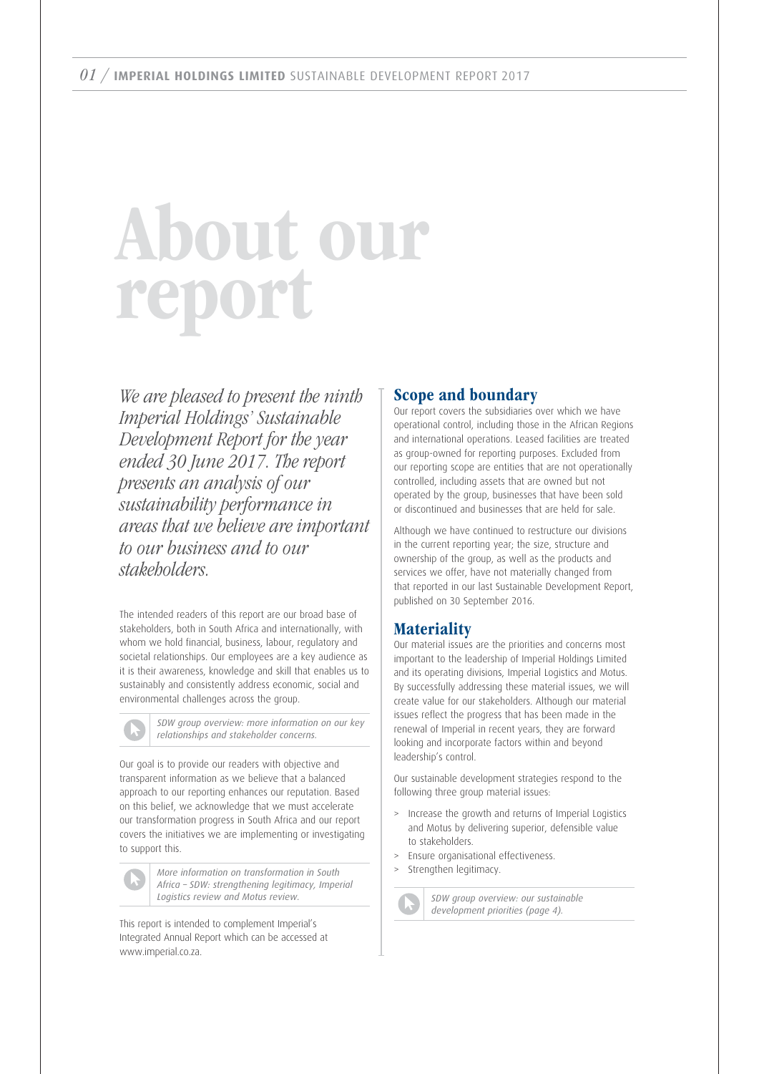# About our report

We are pleased to present the ninth Imperial Holdings' Sustainable Development Report for the year ended 30 June 2017. The report presents an analysis of our sustainability performance in areas that we believe are important to our business and to our stakeholders.

The intended readers of this report are our broad base of stakeholders, both in South Africa and internationally, with whom we hold financial, business, labour, regulatory and societal relationships. Our employees are a key audience as it is their awareness, knowledge and skill that enables us to sustainably and consistently address economic, social and environmental challenges across the group.

*SDW group overview: more information on our key relationships and stakeholder concerns.*

Our goal is to provide our readers with objective and transparent information as we believe that a balanced approach to our reporting enhances our reputation. Based on this belief, we acknowledge that we must accelerate our transformation progress in South Africa and our report covers the initiatives we are implementing or investigating to support this.

*More information on transformation in South Africa – SDW: strengthening legitimacy, Imperial Logistics review and Motus review.*

This report is intended to complement Imperial's Integrated Annual Report which can be accessed at www.imperial.co.za.

# Scope and boundary

Our report covers the subsidiaries over which we have operational control, including those in the African Regions and international operations. Leased facilities are treated as group-owned for reporting purposes. Excluded from our reporting scope are entities that are not operationally controlled, including assets that are owned but not operated by the group, businesses that have been sold or discontinued and businesses that are held for sale.

Although we have continued to restructure our divisions in the current reporting year; the size, structure and ownership of the group, as well as the products and services we offer, have not materially changed from that reported in our last Sustainable Development Report, published on 30 September 2016.

# **Materiality**

Our material issues are the priorities and concerns most important to the leadership of Imperial Holdings Limited and its operating divisions, Imperial Logistics and Motus. By successfully addressing these material issues, we will create value for our stakeholders. Although our material issues reflect the progress that has been made in the renewal of Imperial in recent years, they are forward looking and incorporate factors within and beyond leadership's control.

Our sustainable development strategies respond to the following three group material issues:

- Increase the growth and returns of Imperial Logistics and Motus by delivering superior, defensible value to stakeholders.
- > Ensure organisational effectiveness.
- Strengthen legitimacy.

*SDW group overview: our sustainable development priorities (page 4).*